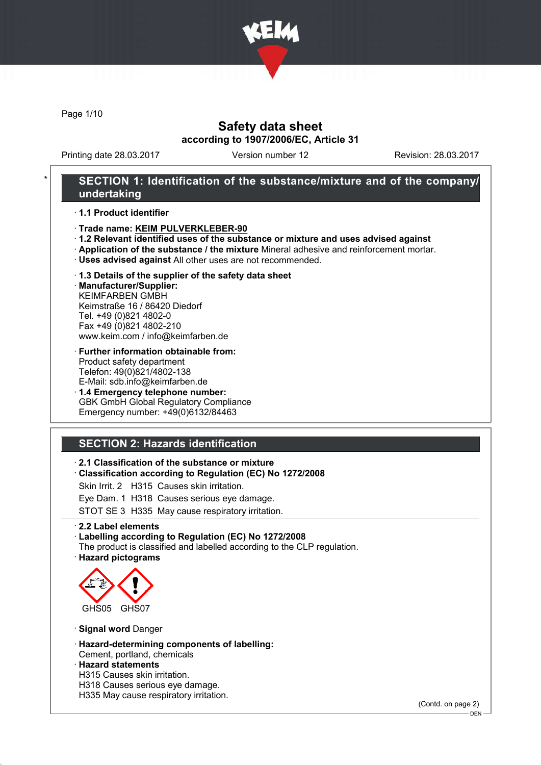

Page 1/10

### Safety data sheet according to 1907/2006/EC, Article 31

Printing date 28.03.2017 Version number 12 Revision: 28.03.2017

### SECTION 1: Identification of the substance/mixture and of the company/ undertaking

· 1.1 Product identifier

- · Trade name: KEIM PULVERKLEBER-90
- · 1.2 Relevant identified uses of the substance or mixture and uses advised against
- · Application of the substance / the mixture Mineral adhesive and reinforcement mortar.
- · Uses advised against All other uses are not recommended.
- · 1.3 Details of the supplier of the safety data sheet

· Manufacturer/Supplier: KEIMFARBEN GMBH Keimstraße 16 / 86420 Diedorf Tel. +49 (0)821 4802-0 Fax +49 (0)821 4802-210 www.keim.com / info@keimfarben.de

- · Further information obtainable from: Product safety department Telefon: 49(0)821/4802-138 E-Mail: sdb.info@keimfarben.de
- · 1.4 Emergency telephone number: GBK GmbH Global Regulatory Compliance Emergency number: +49(0)6132/84463

### SECTION 2: Hazards identification

#### · 2.1 Classification of the substance or mixture

· Classification according to Regulation (EC) No 1272/2008

Skin Irrit. 2 H315 Causes skin irritation.

Eye Dam. 1 H318 Causes serious eye damage.

STOT SE 3 H335 May cause respiratory irritation.

· 2.2 Label elements

#### · Labelling according to Regulation (EC) No 1272/2008

The product is classified and labelled according to the CLP regulation. · Hazard pictograms



· Signal word Danger

· Hazard-determining components of labelling: Cement, portland, chemicals

#### · Hazard statements

- H315 Causes skin irritation.
- H318 Causes serious eye damage.
- H335 May cause respiratory irritation.

(Contd. on page 2)

<sup>-</sup> DEN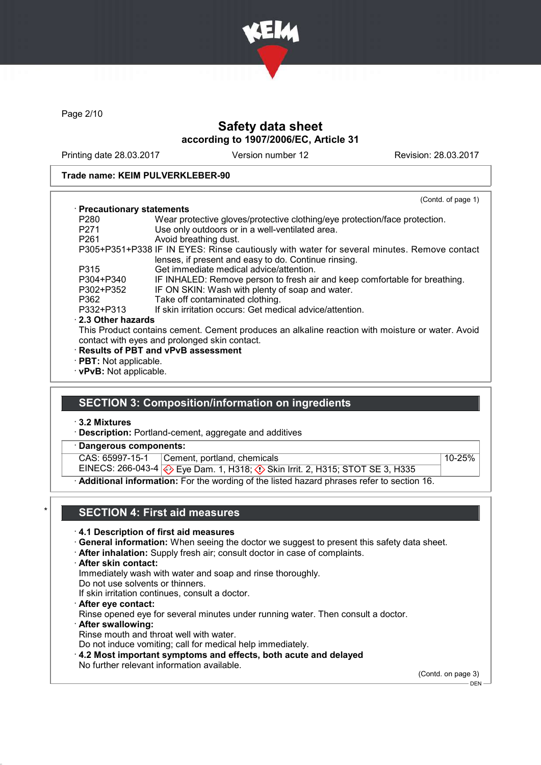

Page 2/10

### Safety data sheet according to 1907/2006/EC, Article 31

Printing date 28.03.2017 Version number 12 Revision: 28.03.2017

#### Trade name: KEIM PULVERKLEBER-90

|                              | (Contd. of page 1)                                                                                                                                 |
|------------------------------|----------------------------------------------------------------------------------------------------------------------------------------------------|
| · Precautionary statements   |                                                                                                                                                    |
| P280                         | Wear protective gloves/protective clothing/eye protection/face protection.                                                                         |
| P271                         | Use only outdoors or in a well-ventilated area.                                                                                                    |
| P <sub>261</sub>             | Avoid breathing dust.                                                                                                                              |
|                              | P305+P351+P338 IF IN EYES: Rinse cautiously with water for several minutes. Remove contact<br>lenses, if present and easy to do. Continue rinsing. |
| P315                         | Get immediate medical advice/attention.                                                                                                            |
| P304+P340                    | IF INHALED: Remove person to fresh air and keep comfortable for breathing.                                                                         |
| P302+P352                    | IF ON SKIN: Wash with plenty of soap and water.                                                                                                    |
| P362                         | Take off contaminated clothing.                                                                                                                    |
| P332+P313                    | If skin irritation occurs: Get medical advice/attention.                                                                                           |
| 2.3 Other hazards            |                                                                                                                                                    |
|                              | This Product contains cement. Cement produces an alkaline reaction with moisture or water. Avoid<br>contact with eyes and prolonged skin contact.  |
|                              | <b>Results of PBT and vPvB assessment</b>                                                                                                          |
| $\cdot$ PBT: Not applicable. |                                                                                                                                                    |
| · vPvB: Not applicable.      |                                                                                                                                                    |

### SECTION 3: Composition/information on ingredients

· 3.2 Mixtures

- · Description: Portland-cement, aggregate and additives
- Dangerous components:

CAS: 65997-15-1 Cement, portland, chemicals 10-25%

EINECS: 266-043-4 Eye Dam. 1, H318; Skin Irrit. 2, H315; STOT SE 3, H335

· Additional information: For the wording of the listed hazard phrases refer to section 16.

### SECTION 4: First aid measures

#### · 4.1 Description of first aid measures

- · General information: When seeing the doctor we suggest to present this safety data sheet.
- · After inhalation: Supply fresh air; consult doctor in case of complaints.
- · After skin contact:
- Immediately wash with water and soap and rinse thoroughly.
- Do not use solvents or thinners.
- If skin irritation continues, consult a doctor.
- · After eye contact:
- Rinse opened eye for several minutes under running water. Then consult a doctor.
- · After swallowing: Rinse mouth and throat well with water.
- Do not induce vomiting; call for medical help immediately.
- · 4.2 Most important symptoms and effects, both acute and delayed
- No further relevant information available.

(Contd. on page 3)

 $-$  DEN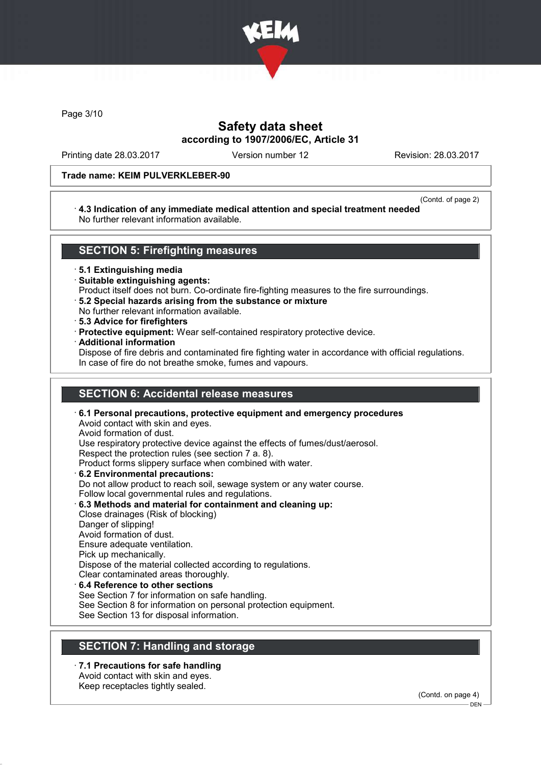

Page 3/10

### Safety data sheet according to 1907/2006/EC, Article 31

Printing date 28.03.2017 Version number 12 Revision: 28.03.2017

#### Trade name: KEIM PULVERKLEBER-90

#### (Contd. of page 2)

#### · 4.3 Indication of any immediate medical attention and special treatment needed No further relevant information available.

### SECTION 5: Firefighting measures

· 5.1 Extinguishing media

- · Suitable extinguishing agents:
- Product itself does not burn. Co-ordinate fire-fighting measures to the fire surroundings.
- · 5.2 Special hazards arising from the substance or mixture
- No further relevant information available.
- · 5.3 Advice for firefighters
- · Protective equipment: Wear self-contained respiratory protective device.
- · Additional information

Dispose of fire debris and contaminated fire fighting water in accordance with official regulations. In case of fire do not breathe smoke, fumes and vapours.

### SECTION 6: Accidental release measures

· 6.1 Personal precautions, protective equipment and emergency procedures Avoid contact with skin and eyes. Avoid formation of dust. Use respiratory protective device against the effects of fumes/dust/aerosol. Respect the protection rules (see section 7 a. 8). Product forms slippery surface when combined with water. · 6.2 Environmental precautions: Do not allow product to reach soil, sewage system or any water course. Follow local governmental rules and regulations. · 6.3 Methods and material for containment and cleaning up: Close drainages (Risk of blocking) Danger of slipping! Avoid formation of dust. Ensure adequate ventilation. Pick up mechanically. Dispose of the material collected according to regulations. Clear contaminated areas thoroughly.

# 6.4 Reference to other sections

See Section 7 for information on safe handling.

See Section 8 for information on personal protection equipment.

See Section 13 for disposal information.

### SECTION 7: Handling and storage

· 7.1 Precautions for safe handling Avoid contact with skin and eyes.

Keep receptacles tightly sealed.

(Contd. on page 4)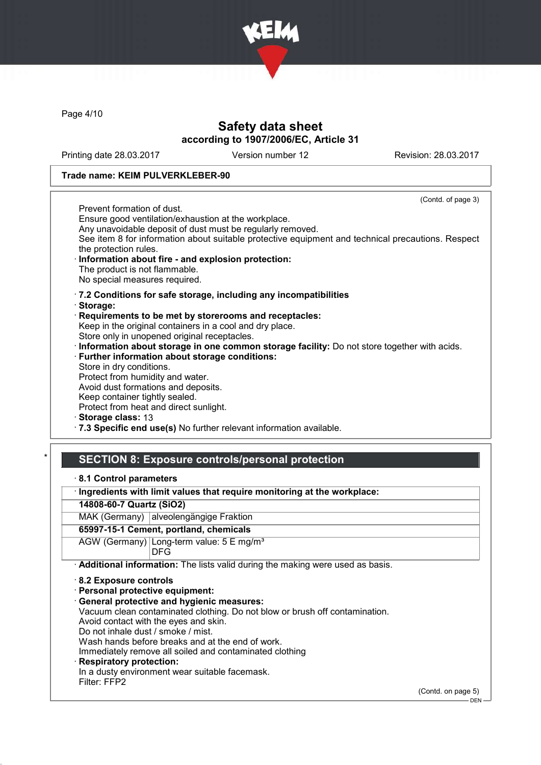

Page 4/10

### Safety data sheet according to 1907/2006/EC, Article 31

Printing date 28.03.2017 Version number 12 Revision: 28.03.2017

#### Trade name: KEIM PULVERKLEBER-90

(Contd. of page 3) Prevent formation of dust. Ensure good ventilation/exhaustion at the workplace. Any unavoidable deposit of dust must be regularly removed. See item 8 for information about suitable protective equipment and technical precautions. Respect the protection rules. Information about fire - and explosion protection: The product is not flammable. No special measures required. · 7.2 Conditions for safe storage, including any incompatibilities · Storage: · Requirements to be met by storerooms and receptacles: Keep in the original containers in a cool and dry place. Store only in unopened original receptacles. · Information about storage in one common storage facility: Do not store together with acids. · Further information about storage conditions: Store in dry conditions. Protect from humidity and water. Avoid dust formations and deposits. Keep container tightly sealed. Protect from heat and direct sunlight. Storage class: 13

· 7.3 Specific end use(s) No further relevant information available.

### SECTION 8: Exposure controls/personal protection

|  | 8.1 Control parameters |
|--|------------------------|
|--|------------------------|

· Ingredients with limit values that require monitoring at the workplace:

14808-60-7 Quartz (SiO2)

MAK (Germany) alveolengängige Fraktion

#### 65997-15-1 Cement, portland, chemicals

AGW (Germany) Long-term value: 5 E mg/m<sup>3</sup> DFG

· Additional information: The lists valid during the making were used as basis.

· 8.2 Exposure controls

· Personal protective equipment:

· General protective and hygienic measures:

Vacuum clean contaminated clothing. Do not blow or brush off contamination.

Avoid contact with the eyes and skin.

Do not inhale dust / smoke / mist.

Wash hands before breaks and at the end of work.

Immediately remove all soiled and contaminated clothing

### **Respiratory protection:**

In a dusty environment wear suitable facemask.

Filter: FFP2

(Contd. on page 5)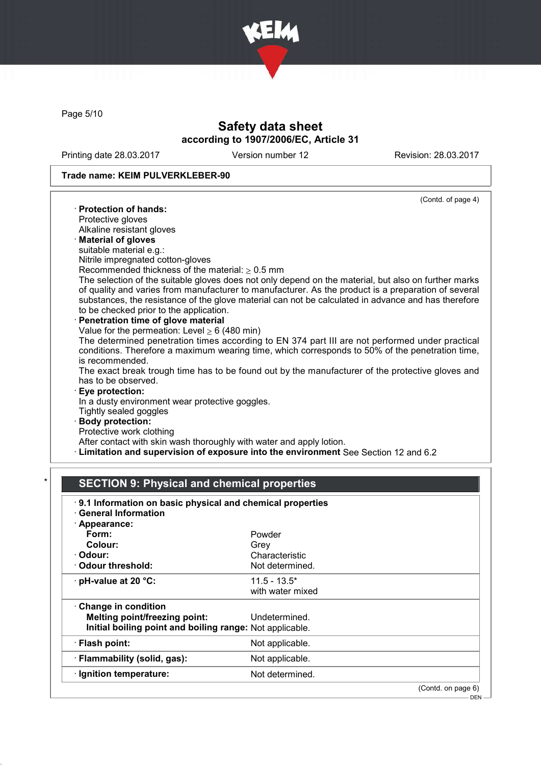

Page 5/10

## Safety data sheet according to 1907/2006/EC, Article 31

Printing date 28.03.2017 Version number 12 Revision: 28.03.2017

### Trade name: KEIM PULVERKLEBER-90

| (Contd. of page 4)                                                                                   |
|------------------------------------------------------------------------------------------------------|
| · Protection of hands:                                                                               |
| Protective gloves                                                                                    |
| Alkaline resistant gloves                                                                            |
| · Material of gloves                                                                                 |
| suitable material e.g.:                                                                              |
| Nitrile impregnated cotton-gloves                                                                    |
| Recommended thickness of the material: $\geq 0.5$ mm                                                 |
| The selection of the suitable gloves does not only depend on the material, but also on further marks |
| of quality and varies from manufacturer to manufacturer. As the product is a preparation of several  |
| substances, the resistance of the glove material can not be calculated in advance and has therefore  |
| to be checked prior to the application.                                                              |
| Penetration time of glove material                                                                   |
| Value for the permeation: Level $\geq 6$ (480 min)                                                   |
| The determined penetration times according to EN 374 part III are not performed under practical      |
| conditions. Therefore a maximum wearing time, which corresponds to 50% of the penetration time,      |
| is recommended.                                                                                      |
| The exact break trough time has to be found out by the manufacturer of the protective gloves and     |
| has to be observed.                                                                                  |
| <b>Eye protection:</b>                                                                               |
| In a dusty environment wear protective goggles.                                                      |
| Tightly sealed goggles                                                                               |
| · Body protection:                                                                                   |
| Protective work clothing                                                                             |
| After contact with skin wash thoroughly with water and apply lotion.                                 |
| Elimitation and supervision of exposure into the environment See Section 12 and 6.2                  |
|                                                                                                      |

# SECTION 9: Physical and chemical properties

| $\cdot$ General Information                              |                  |  |
|----------------------------------------------------------|------------------|--|
| · Appearance:                                            |                  |  |
| Form:                                                    | Powder           |  |
| Colour:                                                  | Grey             |  |
| · Odour:                                                 | Characteristic   |  |
| Odour threshold:                                         | Not determined.  |  |
| $\cdot$ pH-value at 20 $\degree$ C:                      | $11.5 - 13.5^*$  |  |
|                                                          | with water mixed |  |
| Change in condition                                      |                  |  |
| Melting point/freezing point:                            | Undetermined.    |  |
| Initial boiling point and boiling range: Not applicable. |                  |  |
| · Flash point:                                           | Not applicable.  |  |
| · Flammability (solid, gas):                             | Not applicable.  |  |
| · Ignition temperature:                                  | Not determined.  |  |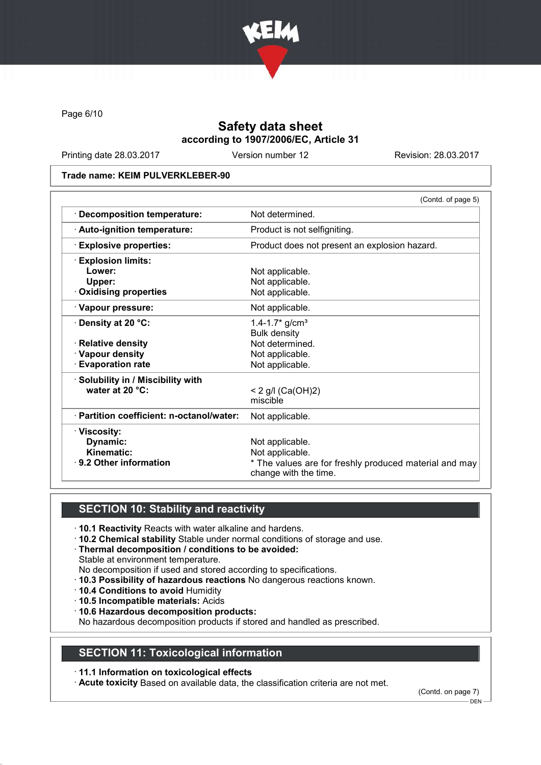

Page 6/10

## Safety data sheet according to 1907/2006/EC, Article 31

Printing date 28.03.2017 Version number 12 Revision: 28.03.2017

#### Trade name: KEIM PULVERKLEBER-90

|                                           | (Contd. of page 5)                                     |
|-------------------------------------------|--------------------------------------------------------|
| · Decomposition temperature:              | Not determined.                                        |
| · Auto-ignition temperature:              | Product is not selfigniting.                           |
| <b>Explosive properties:</b>              | Product does not present an explosion hazard.          |
| <b>Explosion limits:</b>                  |                                                        |
| Lower:                                    | Not applicable.                                        |
| Upper:                                    | Not applicable.                                        |
| <b>Oxidising properties</b>               | Not applicable.                                        |
| · Vapour pressure:                        | Not applicable.                                        |
| $\cdot$ Density at 20 °C:                 | 1.4-1.7* $g/cm3$                                       |
|                                           | <b>Bulk density</b>                                    |
| · Relative density                        | Not determined.                                        |
| · Vapour density                          | Not applicable.                                        |
| · Evaporation rate                        | Not applicable.                                        |
| · Solubility in / Miscibility with        |                                                        |
| water at 20 °C:                           | $< 2$ g/l (Ca(OH)2)                                    |
|                                           | miscible                                               |
| · Partition coefficient: n-octanol/water: | Not applicable.                                        |
| · Viscosity:                              |                                                        |
| Dynamic:                                  | Not applicable.                                        |
| Kinematic:                                | Not applicable.                                        |
| 9.2 Other information                     | * The values are for freshly produced material and may |
|                                           | change with the time.                                  |

### SECTION 10: Stability and reactivity

- · 10.1 Reactivity Reacts with water alkaline and hardens.
- · 10.2 Chemical stability Stable under normal conditions of storage and use.
- · Thermal decomposition / conditions to be avoided:
- Stable at environment temperature.
- No decomposition if used and stored according to specifications.
- · 10.3 Possibility of hazardous reactions No dangerous reactions known.
- · 10.4 Conditions to avoid Humidity
- · 10.5 Incompatible materials: Acids
- · 10.6 Hazardous decomposition products:

No hazardous decomposition products if stored and handled as prescribed.

#### SECTION 11: Toxicological information

#### · 11.1 Information on toxicological effects

· Acute toxicity Based on available data, the classification criteria are not met.

(Contd. on page 7)

 $-$  DEN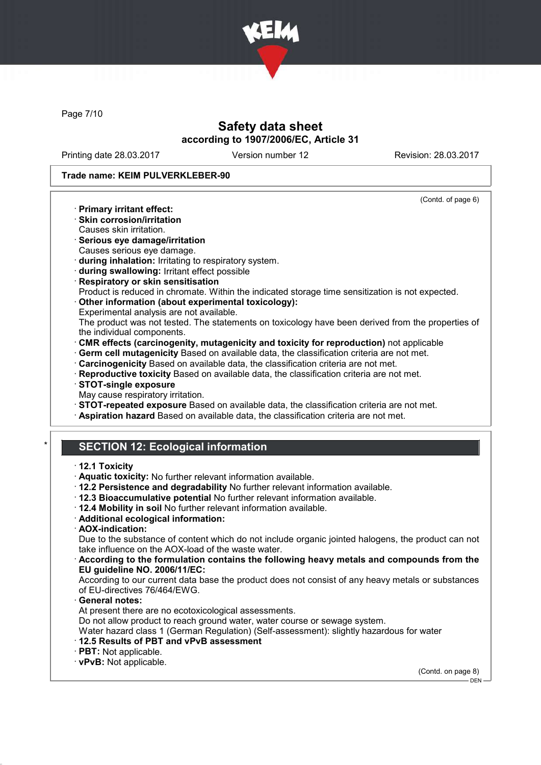

Page 7/10

### Safety data sheet according to 1907/2006/EC, Article 31

Printing date 28.03.2017 Version number 12 Revision: 28.03.2017

(Contd. of page 6)

#### Trade name: KEIM PULVERKLEBER-90

- · Primary irritant effect:
- · Skin corrosion/irritation
- Causes skin irritation.
- · Serious eye damage/irritation Causes serious eye damage.
- · during inhalation: Irritating to respiratory system.
- · during swallowing: Irritant effect possible
- · Respiratory or skin sensitisation
- Product is reduced in chromate. Within the indicated storage time sensitization is not expected.
- · Other information (about experimental toxicology):
- Experimental analysis are not available.
- The product was not tested. The statements on toxicology have been derived from the properties of the individual components.
- · CMR effects (carcinogenity, mutagenicity and toxicity for reproduction) not applicable
- · Germ cell mutagenicity Based on available data, the classification criteria are not met.
- · Carcinogenicity Based on available data, the classification criteria are not met.
- · Reproductive toxicity Based on available data, the classification criteria are not met.
- · STOT-single exposure
- May cause respiratory irritation.
- · STOT-repeated exposure Based on available data, the classification criteria are not met.
- · Aspiration hazard Based on available data, the classification criteria are not met.

# **SECTION 12: Ecological information**

#### · 12.1 Toxicity

- · Aquatic toxicity: No further relevant information available.
- · 12.2 Persistence and degradability No further relevant information available.
- · 12.3 Bioaccumulative potential No further relevant information available.
- · 12.4 Mobility in soil No further relevant information available.
- · Additional ecological information:
- · AOX-indication:

Due to the substance of content which do not include organic jointed halogens, the product can not take influence on the AOX-load of the waste water.

#### · According to the formulation contains the following heavy metals and compounds from the EU guideline NO. 2006/11/EC:

According to our current data base the product does not consist of any heavy metals or substances of EU-directives 76/464/EWG.

General notes:

At present there are no ecotoxicological assessments.

Do not allow product to reach ground water, water course or sewage system.

Water hazard class 1 (German Regulation) (Self-assessment): slightly hazardous for water

- · 12.5 Results of PBT and vPvB assessment
- · PBT: Not applicable.
- · vPvB: Not applicable.

(Contd. on page 8)

 $-$  DEN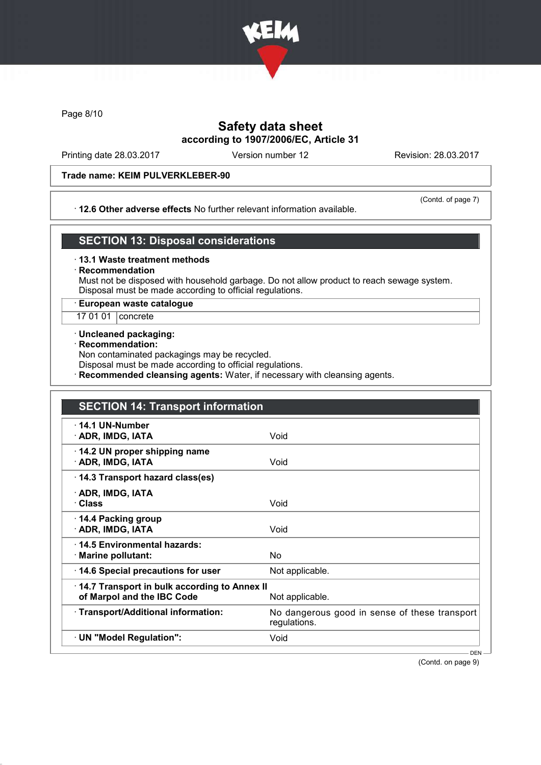

Page 8/10

### Safety data sheet according to 1907/2006/EC, Article 31

Printing date 28.03.2017 Version number 12 Revision: 28.03.2017

#### Trade name: KEIM PULVERKLEBER-90

#### · 12.6 Other adverse effects No further relevant information available.

(Contd. of page 7)

### SECTION 13: Disposal considerations

- · 13.1 Waste treatment methods
- **Recommendation**

Must not be disposed with household garbage. Do not allow product to reach sewage system. Disposal must be made according to official regulations.

· European waste catalogue

17 01 01 | concrete

- · Uncleaned packaging:
- · Recommendation:

Non contaminated packagings may be recycled.

Disposal must be made according to official regulations.

Recommended cleansing agents: Water, if necessary with cleansing agents.

| <b>SECTION 14: Transport information</b>                                                      |                                                               |
|-----------------------------------------------------------------------------------------------|---------------------------------------------------------------|
| $\cdot$ 14.1 UN-Number<br>· ADR, IMDG, IATA                                                   | Void                                                          |
| 14.2 UN proper shipping name<br>· ADR, IMDG, IATA                                             | Void                                                          |
| 14.3 Transport hazard class(es)                                                               |                                                               |
| · ADR, IMDG, IATA<br>· Class                                                                  | Void                                                          |
| ⋅ 14.4 Packing group<br>· ADR, IMDG, IATA                                                     | Void                                                          |
| 14.5 Environmental hazards:<br>· Marine pollutant:                                            | No                                                            |
| 14.6 Special precautions for user                                                             | Not applicable.                                               |
| 14.7 Transport in bulk according to Annex II<br>of Marpol and the IBC Code<br>Not applicable. |                                                               |
| · Transport/Additional information:                                                           | No dangerous good in sense of these transport<br>regulations. |
| · UN "Model Regulation":                                                                      | Void                                                          |

(Contd. on page 9)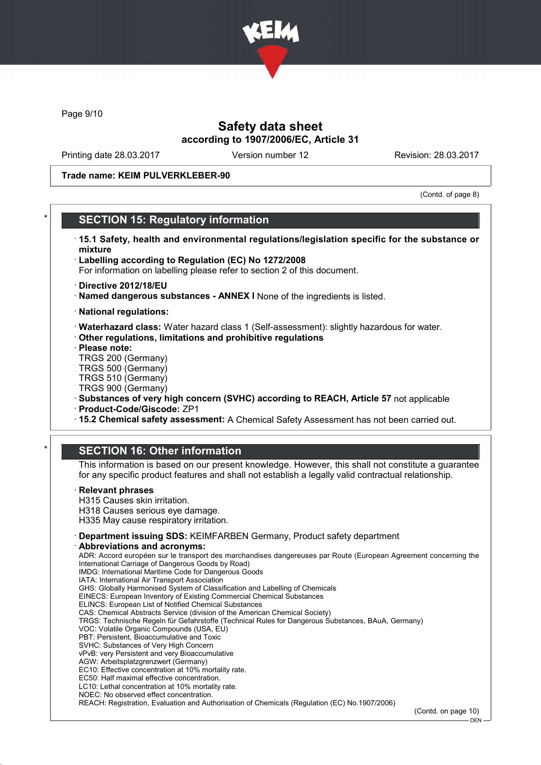

Page 9/10

### Safety data sheet according to 1907/2006/EC, Article 31

Printing date 28.03.2017 Version number 12 Revision: 28.03.2017

Trade name: KEIM PULVERKLEBER-90

(Contd. of page 8)

### **SECTION 15: Regulatory information**

- · 15.1 Safety, health and environmental regulations/legislation specific for the substance or mixture
- · Labelling according to Regulation (EC) No 1272/2008
- For information on labelling please refer to section 2 of this document.
- · Directive 2012/18/EU
- · Named dangerous substances ANNEX I None of the ingredients is listed.
- · National regulations:
- · Waterhazard class: Water hazard class 1 (Self-assessment): slightly hazardous for water.
- · Other regulations, limitations and prohibitive regulations
- · Please note:
- TRGS 200 (Germany) TRGS 500 (Germany)
- TRGS 510 (Germany)
- TRGS 900 (Germany)
- · Substances of very high concern (SVHC) according to REACH, Article 57 not applicable
- · Product-Code/Giscode: ZP1
- · 15.2 Chemical safety assessment: A Chemical Safety Assessment has not been carried out.

#### **SECTION 16: Other information**

This information is based on our present knowledge. However, this shall not constitute a guarantee for any specific product features and shall not establish a legally valid contractual relationship.

#### **Relevant phrases**

H315 Causes skin irritation. H318 Causes serious eye damage.

- H335 May cause respiratory irritation.
- · Department issuing SDS: KEIMFARBEN Germany, Product safety department

#### Abbreviations and acronyms:

ADR: Accord européen sur le transport des marchandises dangereuses par Route (European Agreement concerning the International Carriage of Dangerous Goods by Road) IMDG: International Maritime Code for Dangerous Goods IATA: International Air Transport Association GHS: Globally Harmonised System of Classification and Labelling of Chemicals EINECS: European Inventory of Existing Commercial Chemical Substances ELINCS: European List of Notified Chemical Substances CAS: Chemical Abstracts Service (division of the American Chemical Society) TRGS: Technische Regeln für Gefahrstoffe (Technical Rules for Dangerous Substances, BAuA, Germany) VOC: Volatile Organic Compounds (USA, EU) PBT: Persistent, Bioaccumulative and Toxic SVHC: Substances of Very High Concern vPvB: very Persistent and very Bioaccumulative AGW: Arbeitsplatzgrenzwert (Germany) EC10: Effective concentration at 10% mortality rate. EC50: Half maximal effective concentration. LC10: Lethal concentration at 10% mortality rate. NOEC: No observed effect concentration. REACH: Registration, Evaluation and Authorisation of Chemicals (Regulation (EC) No.1907/2006)